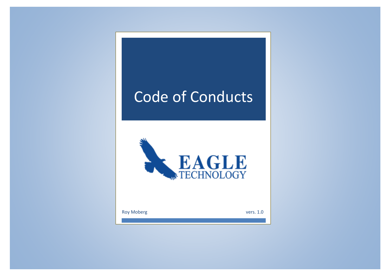# Code of Conducts



Roy Moberg vers. 1.0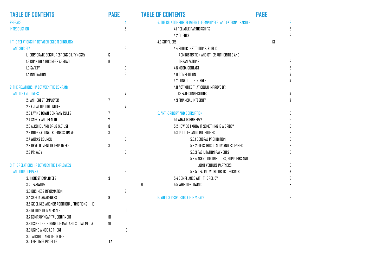| <b>TABLE OF CONTENTS</b>                            | <b>PAGE</b>    |                   | <b>TABLE OF CONTENTS</b>                                       | <b>PAGE</b>   |
|-----------------------------------------------------|----------------|-------------------|----------------------------------------------------------------|---------------|
| <b>PREFACE</b>                                      |                | 4                 | 4. THE RELATIONSHIP BETWEEN THE EMPLOYEES AND EXTERNAL PARTIES | 13            |
| INTRODUCTION                                        |                | 5                 | <b>4.1 RELIABLE PARTNERSHIPS</b>                               | 13            |
|                                                     |                |                   | <b>4.2 CLIENTS</b>                                             | 13            |
| 1. THE RELATIONSHIP BETWEEN EGLE TECHNOLOGY         |                |                   | <b>4.3 SUPPLIERS</b>                                           | 13            |
| <b>AND SOCIETY</b>                                  |                | 6                 | 4.4 PUBLIC INSTITUTIONS, PUBLIC                                |               |
| <b>1.1 CORPORATE SOCIAL RESPONSIBILITY (CSR)</b>    | 6              |                   | ADMINISTRATION AND OTHER AUTHORITIES AND                       |               |
| 1.2 RUNNING A BUSINESS ABROAD                       | 6              |                   | <b>ORGANIZATIONS</b>                                           | 13            |
| 1.3 SAFETY                                          |                | 6                 | 4.5 MEDIA CONTACT                                              | 13            |
| <b>1.4 INNOVATION</b>                               |                | 6                 | <b>4.6 COMPETITION</b>                                         | 14            |
|                                                     |                |                   | 4.7 CONFLICT OF INTEREST                                       | $\frac{1}{4}$ |
| 2. THE RELATIONSHIP BETWEEN THE COMPANY             |                |                   | 4.8 ACTIVITIES THAT COULD IMPROVE OR                           |               |
| AND ITS EMPLOYEES                                   |                | $\overline{7}$    | <b>CREATE CONNECTIONS</b>                                      | 14            |
| 2.1 AN HONEST EMPLOYER                              | 7              |                   | 4.9 FINANCIAL INTEGRITY                                        | $\frac{1}{4}$ |
| 2.2 EQUAL OPPORTUNITIES                             |                | 7                 |                                                                |               |
| 2.3 LAYING DOWN COMPANY RULES                       | $\overline{7}$ |                   | 5. ANTI-BRIBERY AND CORRUPTION                                 | 15            |
| 2.4 SAFETY AND HEALTH                               | 7              |                   | 5.1 WHAT IS BRIBERY?                                           | 15            |
| 2.5 ALCOHOL AND DRUG (AB)USE                        | 8              |                   | 5.2 HOW DO I KNOW IF SOMETHING IS A BRIBE?                     | 15            |
| <b>2.6 INTERNATIONAL BUSINESS TRAVEL</b>            | 8              |                   | 5.3 POLICIES AND PROCEDURES                                    | 16            |
| 2.7 WORKS COUNCIL                                   |                | 8                 | 5.3.1 GENERAL PROHIBITION                                      | 16            |
| 2.8 DEVELOPMENT OF EMPLOYEES                        | 8              |                   | 5.3.2 GIFTS, HOSPITALITY AND EXPENSES                          | 16            |
| 2.9 PRIVACY                                         |                | 8                 | 5.3.3 FACILITATION PAYMENTS                                    | 16            |
|                                                     |                |                   | 5.3.4 AGENT, DISTRIBUTORS, SUPPLIERS AND                       |               |
| 3. THE RELATIONSHIP BETWEEN THE EMPLOYEES           |                |                   | JOINT VENTURE PARTNERS                                         | 16            |
| AND OUR COMPANY                                     |                | 9                 | 5.3.5 DEALING WITH PUBLIC OFFICIALS                            | 17            |
| 3.1 HONEST EMPLOYEES                                | 9              |                   | 5.4 COMPLIANCE WITH THE POLICY                                 | 18            |
| 3.2 TEAMWORK                                        |                |                   | 9<br>5.5 WHISTLEBLOWING                                        | 18            |
| 3.3 BUSINESS INFORMATION                            |                | 9                 |                                                                |               |
| 3.4 SAFETY AWARENESS                                | 9              |                   | <b>G. WHO IS RESPONSIBLE FOR WHAT?</b>                         | 19            |
| 3.5 SIDELINES AND/OR ADDITIONAL FUNCTIONS<br>10     |                |                   |                                                                |               |
| 3.6 RETURN OF MATERIALS                             |                | 10                |                                                                |               |
| 3.7 COMPANY/CAPITAL EQUIPMENT                       | 10             |                   |                                                                |               |
| 3.8 USING THE INTERNET, E-MAIL AND SOCIAL MEDIA     | 10             |                   |                                                                |               |
| 3.9 USING A MOBILE PHONE                            |                | $\sf I\sf I\sf I$ |                                                                |               |
| 3.10 ALCOHOL AND DRUG USE<br>3.11 EMPLOYEE PROFILES | 12             | $\mathbf{f}$      |                                                                |               |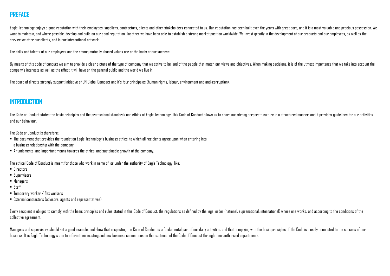# **PREFACE**

Eagle Technology enjoys a good reputation with their employees, suppliers, contractors, clients and other stakeholders connected to us. Our reputation has been built over the years with great care, and it is a most valuabl want to maintain, and where possible, develop and build on our good reputation. Together we have been able to establish a strong market position worldwide. We invest greatly in the development of our products and our emplo service we offer our clients, and in our international network.

The skills and talents of our employees and the strong mutually shared values are at the basis of our success.

By means of this code of conduct we aim to provide a clear picture of the type of company that we strive to be, and of the people that match our views and objectives. When making decisions, it is of the utmost importance t company's interests as well as the effect it will have on the general public and the world we live in.

The board of directs strongly support initiative of UN Global Compact and it's four principales (human rights, labour, environment and anti-corruption).

# **INTRODUCTION**

The Code of Conduct states the basic principles and the professional standards and ethics of Fagle Technology. This Code of Conduct allows us to share our strong corporate culture in a structured manner, and it provides qu and our behaviour.

The Code of Conduct is therefore:

- The document that provides the foundation Eagle Technology's business ethics, to which all recipients agree upon when entering into a business relationship with the company.
- A fundamental and important means towards the ethical and sustainable growth of the company.

The ethical Code of Conduct is meant for those who work in name of, or under the authority of Eagle Technology, like:

- Directors
- Supervisors
- Managers
- Staff
- Temporary worker / flex workers
- External contractors (advisors, agents and representatives)

Every recipient is obliged to comply with the basic principles and rules stated in this Code of Conduct, the regulations as defined by the legal order (national, supranational, international) where one works, and according collective agreement.

Managers and supervisors should set a good example, and show that respecting the Code of Conduct is a fundamental part of our daily activities, and that complying with the basic principles of the Code is closely connected business. It is Eagle Technology's aim to inform their existing and new business connections on the existence of the Code of Conduct through their authorized departments.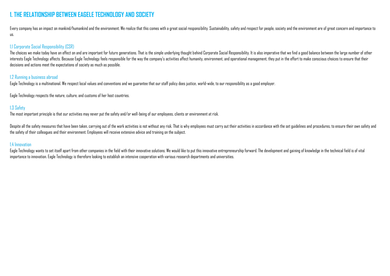# **1. THE RELATIONSHIP BETWEEN EAGELE TECHNOLOGY AND SOCIETY**

Every company has an impact on mankind/humankind and the environment. We realize that this comes with a great social responsibility. Sustainability, safety and respect for people, society and the environment are of great c us.

## 1.1 Corporate Social Responsibility (CSR)

The choices we make today have an effect on and are important for future generations. That is the simple underlying thought behind Corporate Social Responsibility. It is also imperative that we find a good balance between interests Eagle Technology affects. Because Eagle Technology feels responsible for the way the company's activities affect humanity, environment, and operational management, they put in the effort to make conscious choices decisions and actions meet the expectations of society as much as possible.

## 1.2 Running a business abroad

Eagle Technology is a multinational. We respect local values and conventions and we guarantee that our staff policy does justice, world-wide, to our responsibility as a good employer.

Eagle Technology respects the nature, culture, and customs of her host countries.

## 1.3 Safety

The most important principle is that our activities may never put the safety and/or well-being of our employees, clients or environment at risk.

Despite all the safety measures that have been taken, carrying out of the work activities is not without any risk. That is why employees must carry out their activities in accordance with the set guidelines and procedures, the safety of their colleagues and their environment. Employees will receive extensive advice and training on the subject.

#### 1.4 Innovation

Eagle Technology wants to set itself apart from other companies in the field with their innovative solutions. We would like to put this innovative entrepreneurship forward. The development and gaining of knowledge in the t importance to innovation. Eagle Technology is therefore looking to establish an intensive cooperation with various research departments and universities.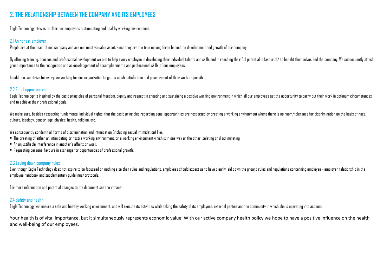# **2. THE RELATIONSHIP BETWEEN THE COMPANY AND ITS EMPLOYEES**

Eagle Technology strives to offer her employees a stimulating and healthy working environment.

## 2.1 An honest employer

People are at the heart of our company and are our most valuable asset, since they are the true moving force behind the development and growth of our company.

By offering training, courses and professional development we aim to help every employee in developing their individual talents and skills and in reaching their full potential in favour of/to benefit themselves and the com great importance to the recognition and acknowledgement of accomplishments and professional skills of our employees.

In addition, we strive for everyone working for our organization to get as much satisfaction and pleasure out of their work as possible.

## 2.2 Equal opportunities

Eagle Technology is inspired by the basic principles of personal freedom, dignity and respect in creating and sustaining a positive working environment in which all our employees get the opportunity to carry out their work and to achieve their professional goals.

We make sure, besides respecting fundamental individual rights, that the basic principles regarding equal opportunities are respected by creating a working environment where there is no room/tolerance for discrimination on culture, ideology, gender, age, physical health, religion, etc.

We consequently condemn all forms of discrimination and intimidation (including sexual intimidation) like:

- The creating of either an intimidating or hostile working environment, or a working environment which is in one way or the other isolating or discriminating;
- An unjustifiable interference in another's affairs or work;
- Requesting personal favours in exchange for opportunities of professional growth.

## 2.3 Laying down company rules

Even though Eagle Technology does not aspire to be focussed on nothing else than rules and regulations, employees should expect us to have clearly laid down the ground rules and regulations concerning employee - employer r employee handbook and supplementary guidelines/protocols.

For more information and potential changes to the document see the intranet.

## 2.4 Safety and health

Eagle Technology will ensure a safe and healthy working environment, and will execute its activities while taking the safety of its employees, external parties and the community in which she is operating into account.

Your health is of vital importance, but it simultaneously represents economic value. With our active company health policy we hope to have a positive influence on the health and well-being of our employees.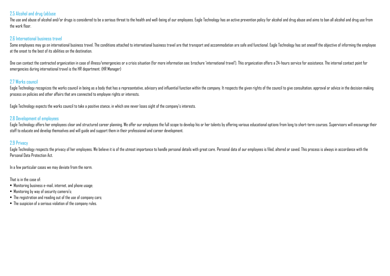## 2.5 Alcohol and drug (ab)use

The use and abuse of alcohol and/or drugs is considered to be a serious threat to the health and well-being of our employees. Eagle Technology has an active prevention policy for alcohol and drug abuse and aims to ban all the work floor.

## 2.6 International business travel

Some employees may op on international business travel. The conditions attached to international business travel are that transport and accommodation are safe and functional. Eagle Technology has set oneself the objective at the onset to the best of its abilities on the destination.

One can contact the contracted organization in case of illness/emergencies or a crisis situation (for more information see: brochure 'international travel'). This organization offers a 24-hours service for assistance. The emergencies during international travel is the HR department. (HR Manager)

## 2.7 Works council

Eagle Technology recognizes the works council in being as a body that has a representative, advisory and influential function within the company. It respects the given rights of the council to give consultation, approval o process on policies and other affairs that are connected to employee rights or interests.

Eagle Technology expects the works council to take a positive stance, in which one never loses sight of the company's interests.

#### 2.8 Development of employees

Eagle Technology offers her employees clear and structured career planning. We offer our employees the full scope to develop his or her talents by offering various educational options from long to short-term courses. Super staff to educate and develop themselves and will guide and support them in their professional and career development.

## 2.9 Privacy

Eagle Technology respects the privacy of her employees. We believe it is of the utmost importance to handle personal details with great care. Personal data of our employees is filed, altered or sayed. This process is alway Personal Data Protection Act.

In a few particular cases we may deviate from the norm.

#### That is in the case of:

- Monitoring business e-mail, internet, and phone usage;
- Monitoring by way of security camera's;
- The registration and reading out of the use of company cars;
- The suspicion of a serious violation of the company rules.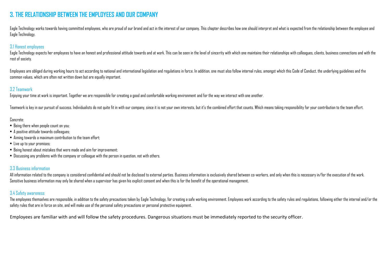# **3. THE RELATIONSHIP BETWEEN THE EMPLOYEES AND OUR COMPANY**

Eagle Technology works towards having committed employees, who are proud of our brand and act in the interest of our company. This chapter describes how one should interpret and what is expected from the relationship betwe Eagle Technology.

## 3.1 Honest employees

Eagle Technology expects her employees to have an honest and professional attitude towards and at work. This can be seen in the level of sincerity with which one maintains their relationships with colleagues, clients, busi rest of society.

Employees are obliged during working hours to act according to national and international legislation and regulations in force. In addition, one must also follow internal rules, amongst which this Code of Conduct, the unde common values, which are often not written down but are equally important.

## 3.2 Teamwork

Enjoying your time at work is important. Together we are responsible for creating a good and comfortable working environment and for the way we interact with one another.

Teamwork is key in our pursuit of success, Individualists do not quite fit in with our company, since it is not your own interests, but it's the combined effort that counts. Which means taking responsibility for your contr

#### Concrete:

- Being there when people count on you;
- A positive attitude towards colleagues;
- Aiming towards a maximum contribution to the team effort;
- Live up to your promises;
- Being honest about mistakes that were made and aim for improvement;
- Discussing any problems with the company or colleague with the person in question, not with others.

## 3.3 Business information

All information related to the company is considered confidential and should not be disclosed to external parties. Business information is exclusively shared between co-workers, and only when this is necessary in/for the e Sensitive business information may only be shared when a supervisor has given his explicit consent and when this is for the benefit of the operational management.

## 3.4 Safety awareness

The employees themselves are responsible, in addition to the safety precautions taken by Eagle Technology, for creating a safe working environment. Employees work according to the safety rules and regulations, following ei safety rules that are in force on site, and will make use of the personal safety precautions or personal protective equipment.

Employees are familiar with and will follow the safety procedures. Dangerous situations must be immediately reported to the security officer.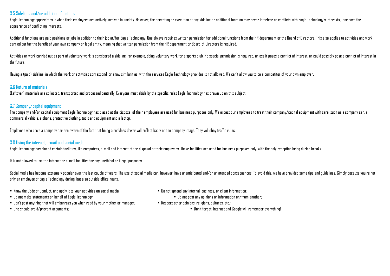#### 3.5 Sidelines and/or additional functions

Eagle Technology appreciates it when their employees are actively involved in society. However, the accepting or execution of any sideline or additional function may never interfere or conflicts with Eagle Technology's int appearance of conflicting interests.

Additional functions are paid positions or jobs in addition to their job at/for Eagle Technology. One always requires written permission for additional functions from the HR department or the Board of Directors. This also carried out for the benefit of your own company or legal entity, meaning that written permission from the HR department or Board of Directors is required.

Activities or work carried out as part of voluntary work is considered a sideline. For example, doing voluntary work for a sports club. No special permission is required, unless it poses a conflict of interest, or could po the future.

Having a (paid) sideline, in which the work or activities correspond, or show similarities, with the services Eagle Technology provides is not allowed. We can't allow you to be a competitor of your own employer.

## 3.6 Return of materials

(Leftover) materials are collected, transported and processed centrally. Everyone must abide by the specific rules Eagle Technology has drawn up on this subject.

## 3.7 Company/capital equipment

The company and/or capital equipment Eagle Technology has placed at the disposal of their employees are used for business purposes only. We expect our employees to treat their company/capital equipment with care, such as commercial vehicle, a phone, protective clothing, tools and equipment and a laptop.

Employees who drive a company car are aware of the fact that being a reckless driver will reflect badly on the company image. They will obey traffic rules.

## 3.8 Using the internet, e-mail and social media

Eagle Technology has placed certain facilities, like computers, e-mail and internet at the disposal of their employees. These facilities are used for business purposes only, with the only exception being during breaks.

It is not allowed to use the internet or e-mail facilities for any unethical or illegal purposes.

Social media has become extremely popular over the last couple of years. The use of social media can, however, have unanticipated and/or unintended consequences. To avoid this, we have provided some tips and quidelines. Si only an employee of Eagle Technology during, but also outside office hours.

- Know the Code of Conduct, and apply it to your activities on social media; Do not spread any internal, business, or client information;
	-
- Do not make statements on behalf of Eagle Technology; Do not post any opinions or information on/from another;
- Don't post anything that will embarrass you when read by your mother or manager; Respect other opinions, religions, cultures, etc.;
- 
- 
- One should avoid/prevent arguments; Don't forget: Internet and Google will remember everything!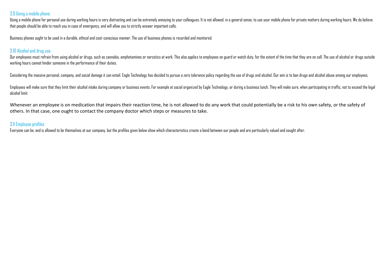## 3.9 Using a mobile phone

Using a mobile phone for personal use during working hours is very distracting and can be extremely annoying to your colleagues. It is not allowed, in a general sense, to use your mobile phone for private matters durino wo that people should be able to reach you in case of emergency, and will allow you to strictly answer important calls.

Business phones ought to be used in a durable, ethical and cost-conscious manner. The use of business phones is recorded and monitored.

## 3.10 Alcohol and drug use

Our employees must refrain from using alcohol or drugs, such as cannabis, amphetamines or narcotics at work. This also applies to employees on quard or watch duty, for the extent of the time that they are on call. The use working hours cannot hinder someone in the performance of their duties.

Considering the massive personal, company, and social damage it can entail, Eagle Technology has decided to pursue a zero tolerance policy regarding the use of drugs and alcohol. Our aim is to ban drugs and alcohol abuse a

Employees will make sure that they limit their alcohol intake during company or business events. For example at social organized by Eagle Technology, or during a business lunch. They will make sure, when participating in t alcohol limit.

Whenever an employee is on medication that impairs their reaction time, he is not allowed to do any work that could potentially be a risk to his own safety, or the safety of others. In that case, one ought to contact the company doctor which steps or measures to take.

## 3.11 Employee profiles

Everyone can be, and is allowed to be themselves at our company, but the profiles given below show which characteristics create a bond between our people and are particularly valued and sought after.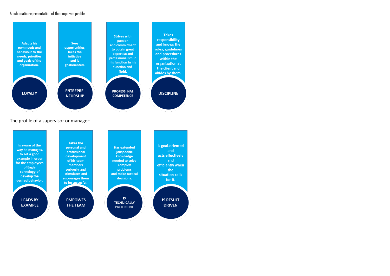#### A schematic representation of the employee profile.



#### The profile of a supervisor or manager:

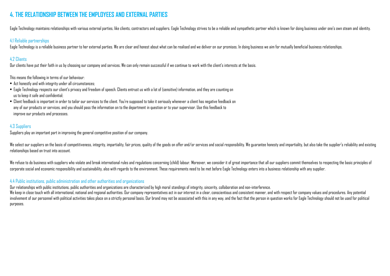# **4. THE RELATIONSHIP BETWEEN THE EMPLOYEES AND EXTERNAL PARTIES**

Eagle Technology maintains relationships with various external parties, like clients, contractors and suppliers. Eagle Technology strives to be a reliable and sympathetic partner which is known for doing business under one

## 4.1 Reliable partnerships

Eagle Technology is a reliable business partner to her external parties. We are clear and honest about what can be realised and we deliver on our promises. In doing business we aim for mutually beneficial business relation

## 4.2 Clients

Our clients have put their faith in us by choosing our company and services. We can only remain successful if we continue to work with the client's interests at the basis.

This means the following in terms of our behaviour:

- Act honestly and with integrity under all circumstances;
- $\bullet$  Fagle Technology respects our client's privacy and freedom of speech. Clients entrust us with a lot of (sensitive) information, and they are counting on us to keep it safe and confidential;
- Client feedback is important in order to tailor our services to the client. You're supposed to take it seriously whenever a client has negative feedback on any of our products or services, and you should pass the information on to the department in question or to your supervisor. Use this feedback to improve our products and processes.

## 4.3 Suppliers

Suppliers play an important part in improving the general competitive position of our company.

We select our suppliers on the basis of competitiveness, integrity, impartiality, fair prices, quality of the goods on offer and/or services and social responsibility. We quarantee honesty and impartiality, but also take t relationships based on trust into account.

We refuse to do business with suppliers who violate and break international rules and regulations concerning (child) labour. Moreover, we consider it of great importance that all our suppliers commit themselves to respecti corporate social and economic responsibility and sustainability, also with regards to the environment. These requirements need to be met before Eagle Technology enters into a business relationship with any supplier.

## 4.4 Public institutions, public administration and other authorities and organizations

Our relationships with public institutions, public authorities and organizations are characterized by high moral standings of integrity, sincerity, collaboration and non-interference.

We keep in close touch with all international, national and regional authorities. Dur company representatives act in our interest in a clear, conscientious and consistent manner, and with respect for company values and pro involvement of our personnel with political activities takes place on a strictly personal basis. Dur brand may not be associated with this in any way, and the fact that the person in question works for Eagle Technology sho purposes.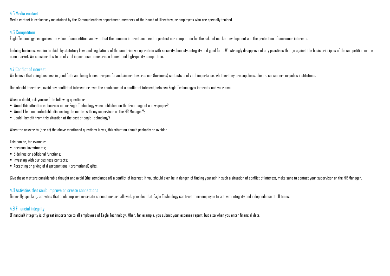## 4.5 Media contact

Media contact is exclusively maintained by the Communications department, members of the Board of Directors, or employees who are specially trained.

#### 4.6 Competition

Eagle Technology recognises the value of competition, and with that the common interest and need to protect our competition for the sake of market development and the protection of consumer interests.

In doing business, we aim to abide by statutory laws and regulations of the countries we operate in with sincerity, honesty, integrity and good faith. We strongly disapprove of any practises that go against the basic princ open market. We consider this to be of vital importance to ensure an honest and high-quality competition.

## 4.7 Conflict of interest

We believe that doing business in good faith and being honest, respectful and sincere towards our (business) contacts is of vital importance, whether they are suppliers, clients, consumers or public institutions.

One should, therefore, avoid any conflict of interest, or even the semblance of a conflict of interest, between Eagle Technology's interests and your own.

#### When in doubt, ask yourself the following questions:

- Would this situation embarrass me or Eagle Technology when published on the front page of a newspaper?;
- Would I feel uncomfortable discussing the matter with my supervisor or the HR Manager?;
- Could I benefit from this situation at the cost of Eagle Technology?

When the answer to (one of) the above mentioned questions is yes, this situation should probably be avoided.

This can be, for example:

- Personal investments;
- Sidelines or additional functions;
- Investing with our business contacts;
- Accepting or giving of disproportional (promotional) gifts.

Give these matters considerable thought and avoid (the semblance of) a conflict of interest. If you should ever be in danger of finding yourself in such a situation of conflict of interest, make sure to contact your superv

## 4.8 Activities that could improve or create connections

Generally speaking, activities that could improve or create connections are allowed, provided that Eagle Technology can trust their employee to act with integrity and independence at all times.

## 4.9 Financial integrity

(Financial) integrity is of great importance to all employees of Eagle Technology. When, for example, you submit your expense report, but also when you enter financial data.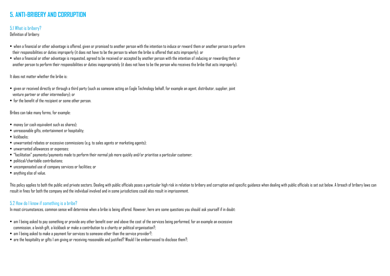# **5. ANTI-BRIBERY AND CORRUPTION**

## 5.1 What is bribery?

Definition of bribery:

- when a financial or other advantage is offered, given or promised to another person with the intention to induce or reward them or another person to perform their responsibilities or duties improperly (it does not have to be the person to whom the bribe is offered that acts improperly); or
- when a financial or other advantage is requested, agreed to be received or accepted by another person with the intention of inducing or rewarding them or another person to perform their responsibilities or duties inappropriately (it does not have to be the person who receives the bribe that acts improperly).

It does not matter whether the bribe is:

- given or received directly or through a third party (such as someone acting on Eagle Technology behalf, for example an agent, distributor, supplier, joint venture partner or other intermediary); or
- for the benefit of the recipient or some other person.

Bribes can take many forms, for example:

- money (or cash equivalent such as shares);
- unreasonable gifts, entertainment or hospitality;
- $\bullet$  kickbacks;
- unwarranted rebates or excessive commissions (e.g. to sales agents or marketing agents);
- unwarranted allowances or expenses;
- "facilitation" payments/payments made to perform their normal job more quickly and/or prioritise a particular customer;
- $\bullet$  nolitical/charitable contributions;
- uncompensated use of company services or facilities; or
- anything else of value.

This policy applies to both the public and private sectors. Dealing with public officials poses a particular high risk in relation to bribery and corruption and specific quidance when dealing with public officials is set o result in fines for both the company and the individual involved and in some jurisdictions could also result in imprisonment.

## 5.2 How do I know if something is a bribe?

In most circumstances, common sense will determine when a bribe is being offered. However, here are some questions you should ask yourself if in doubt:

- am I being asked to pay something or provide any other benefit over and above the cost of the services being performed, for an example an excessive commission, a lavish gift, a kickback or make a contribution to a charity or political organisation?;
- am I being asked to make a payment for services to someone other than the service provider?;
- are the hospitality or gifts I am giving or receiving reasonable and justified? Would I be embarrassed to disclose them?;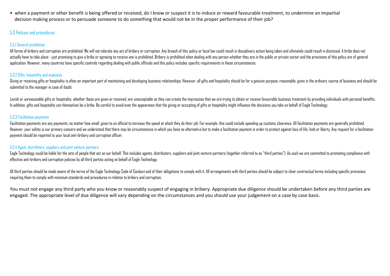• when a payment or other benefit is being offered or received, do I know or suspect it is to induce or reward favourable treatment, to undermine an impartial decision making process or to persuade someone to do something that would not be in the proper performance of their job?

## 5.3 Policies and procedures

#### 5.3.1 General prohibition

All forms of bribery and corruption are prohibited. We will not tolerate any act of bribery or corruption. Any breach of this policy or local law could result in disciplinary action being taken and ultimately could result actually have to take place - just promising to give a bribe or agreeing to receive one is prohibited. Bribery is prohibited when dealing with any person whether they are in the public or private sector and the provisions application. However, many countries have specific controls regarding dealing with public officials and this policy includes specific requirements in these circumstances.

#### 5.3.2 Gifts, hospitality and expenses

Giving or receiving gifts or hospitality is often an important part of maintaining and developing business relationships. However, all gifts and hospitality should be for a genuine purpose, reasonable, given in the ordinar submitted to the manager in case of doubt.

Lavish or unreasonable gifts or hospitality, whether these are given or received, are unacceptable as they can create the impression that we are trying to obtain or receive favourable business treatment by providing indivi In addition, gifts and hospitality can themselves be a bribe. Be careful to avoid even the appearance that the giving or accepting of gifts or hospitality might influence the decisions you take on behalf of Eagle Technology.

## 5.3.3 Facilitation payments

Facilitation payments are any payments, no matter how small, given to an official to increase the speed at which they do their job. For example, this could include speeding up customs clearance. All facilitation payments a However, your safety is our primary concern and we understand that there may be circumstances in which you have no alternative but to make a facilitation payment in order to protect against loss of life, limb or liberty. A payment should be reported to your local anti-bribery and corruption officer.

## 5.3.4 Agent, distribitors, suppliers and joint venture partners

Eagle Technology could be liable for the acts of people that act on our behalf. This includes agents, distributors, suppliers and joint venture partners (together referred to as "third parties"). As such we are committed t effective anti-bribery and corruption policies by all third parties acting on behalf of Eagle Technology.

All third parties should be made aware of the terms of the Eagle Technology Code of Conduct and of their obligations to comply with it. All arrangements with third parties should be subject to clear contractual terms inclu requiring them to comply with minimum standards and procedures in relation to bribery and corruption.

You must not engage any third party who you know or reasonably suspect of engaging in bribery. Appropriate due diligence should be undertaken before any third parties are engaged. The appropriate level of due diligence will vary depending on the circumstances and you should use your judgement on a case by case basis.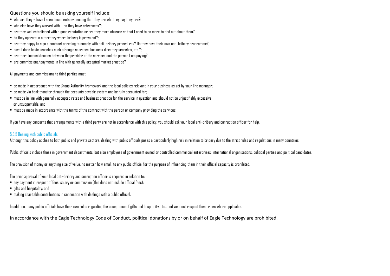Questions you should be asking yourself include:

- $\bullet$  who are they have I seen documents evidencing that they are who they say they are?;
- $\bullet$  who else have they worked with do they have references?:
- $\bullet$  are they well established with a good reputation or are they more obscure so that I need to do more to find out about them?;
- $\bullet$  do they operate in a territory where bribery is prevalent?
- are they happy to sign a contract agreeing to comply with anti-bribery procedures? Do they have their own anti-bribery programme?;
- $\bullet$  have I done basic searches such a Google searches, business directory searches, etc.?;
- $\bullet$  are there inconsistencies between the provider of the services and the person I am paying?
- are commissions/payments in line with generally accepted market practice?

All payments and commissions to third parties must:

- be made in accordance with the Group Authority Framework and the local policies relevant in your business as set by your line manager;
- be made via bank transfer through the accounts payable system and be fully accounted for;
- must be in line with generally accepted rates and business practice for the service in question and should not be unjustifiably excessive or unsupportable; and
- must be made in accordance with the terms of the contract with the person or company providing the services.

If you have any concerns that arrangements with a third party are not in accordance with this policy, you should ask your local anti-bribery and corruption officer for help.

#### 5.3.5 Dealing with public officials

Although this policy applies to both public and private sectors, dealing with public officials poses a particularly high risk in relation to bribery due to the strict rules and regulations in many countries.

Public officials include those in government departments, but also employees of government owned or controlled commercial enterprises, international organisations, political parties and political candidates.

The provision of money or anything else of value, no matter how small, to any public official for the purpose of influencing them in their official capacity is prohibited.

The prior approval of your local anti-bribery and corruption officer is required in relation to:

- any payment in respect of fees, salary or commission (this does not include official fees);
- gifts and hospitality; and
- making charitable contributions in connection with dealings with a public official.

In addition, many public officials have their own rules regarding the acceptance of gifts and hospitality, etc., and we must respect these rules where applicable.

In accordance with the Eagle Technology Code of Conduct, political donations by or on behalf of Eagle Technology are prohibited.